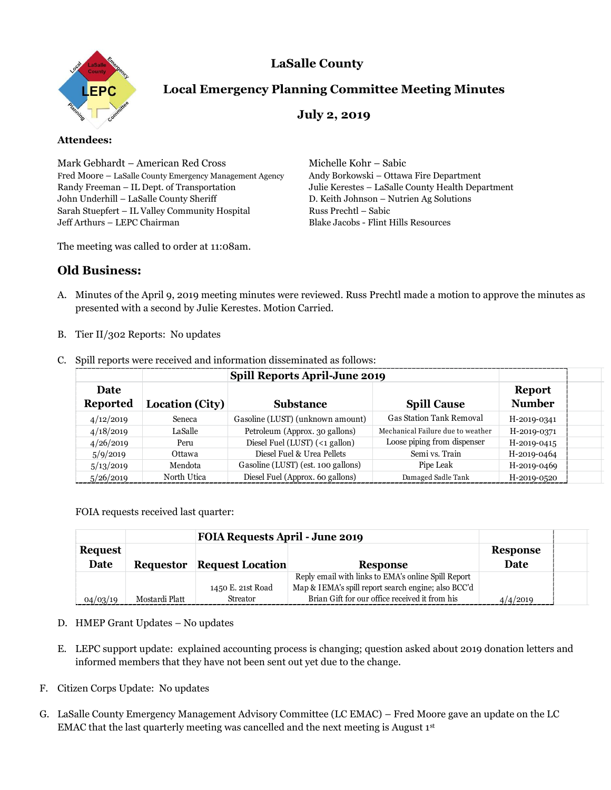# **LaSalle County**



## **Local Emergency Planning Committee Meeting Minutes**

## **July 2, 2019**

#### **Attendees:**

Mark Gebhardt – American Red Cross Michelle Kohr – Sabic Fred Moore – LaSalle County Emergency Management Agency Andy Borkowski – Ottawa Fire Department Randy Freeman – IL Dept. of Transportation Julie Kerestes – LaSalle County Health Department John Underhill – LaSalle County Sheriff D. Keith Johnson – Nutrien Ag Solutions Sarah Stuepfert – IL Valley Community Hospital Russ Prechtl – Sabic Jeff Arthurs – LEPC Chairman Blake Jacobs - Flint Hills Resources

The meeting was called to order at 11:08am.

### **Old Business:**

- A. Minutes of the April 9, 2019 meeting minutes were reviewed. Russ Prechtl made a motion to approve the minutes as presented with a second by Julie Kerestes. Motion Carried.
- B. Tier II/302 Reports: No updates

|                         |                                    |                                                                          | Spill Reports April-June 2019      |                                                                                                                  |                                |
|-------------------------|------------------------------------|--------------------------------------------------------------------------|------------------------------------|------------------------------------------------------------------------------------------------------------------|--------------------------------|
| Date<br><b>Reported</b> |                                    | <b>Location (City)</b><br><b>Substance</b>                               |                                    | <b>Spill Cause</b>                                                                                               | <b>Report</b><br><b>Number</b> |
| 4/12/2019               | Seneca                             |                                                                          | Gasoline (LUST) (unknown amount)   | <b>Gas Station Tank Removal</b>                                                                                  | H-2019-0341                    |
| 4/18/2019               | LaSalle                            |                                                                          | Petroleum (Approx. 30 gallons)     | Mechanical Failure due to weather                                                                                | H-2019-0371                    |
| 4/26/2019               | Peru                               |                                                                          | Diesel Fuel (LUST) (<1 gallon)     | Loose piping from dispenser                                                                                      | H-2019-0415                    |
| 5/9/2019                | Ottawa                             |                                                                          | Diesel Fuel & Urea Pellets         | Semi vs. Train                                                                                                   | H-2019-0464                    |
| 5/13/2019               | Mendota                            |                                                                          | Gasoline (LUST) (est. 100 gallons) | Pipe Leak                                                                                                        | H-2019-0469                    |
| 5/26/2019               | North Utica                        |                                                                          | Diesel Fuel (Approx. 60 gallons)   | Damaged Sadle Tank                                                                                               | H-2019-0520                    |
|                         |                                    | <b>FOIA Requests April - June 2019</b>                                   |                                    |                                                                                                                  |                                |
|                         |                                    |                                                                          |                                    |                                                                                                                  |                                |
| Date                    |                                    |                                                                          |                                    |                                                                                                                  | <b>Response</b><br>Date        |
|                         | <b>Requestor</b>                   | <b>Request Location</b>                                                  |                                    | <b>Response</b><br>Reply email with links to EMA's online Spill Report                                           |                                |
|                         |                                    | 1450 E. 21st Road                                                        |                                    | Map & IEMA's spill report search engine; also BCC'd                                                              |                                |
| 04/03/19                | Mostardi Platt                     | Streator                                                                 |                                    | Brian Gift for our office received it from his                                                                   | 4/4/2019                       |
| <b>Request</b>          | D. HMEP Grant Updates - No updates | informed members that they have not been sent out yet due to the change. |                                    | E. LEPC support update: explained accounting process is changing; question asked about 2019 donation letters and |                                |

C. Spill reports were received and information disseminated as follows:

|                |                  | <b>FOIA Requests April - June 2019</b> |                                                     |                 |  |
|----------------|------------------|----------------------------------------|-----------------------------------------------------|-----------------|--|
| <b>Request</b> |                  |                                        |                                                     | <b>Response</b> |  |
| Date           | <b>Requestor</b> | <b>Request Location</b>                | <b>Response</b>                                     | Date            |  |
|                |                  |                                        | Reply email with links to EMA's online Spill Report |                 |  |
|                |                  | 1450 E. 21st Road                      | Map & IEMA's spill report search engine; also BCC'd |                 |  |
| 04/03/19       | Mostardi Platt   | <b>Streator</b>                        | Brian Gift for our office received it from his      | 4/4/2019        |  |

#### D. HMEP Grant Updates – No updates

- E. LEPC support update: explained accounting process is changing; question asked about 2019 donation letters and informed members that they have not been sent out yet due to the change.
- F. Citizen Corps Update: No updates
- G. LaSalle County Emergency Management Advisory Committee (LC EMAC) Fred Moore gave an update on the LC